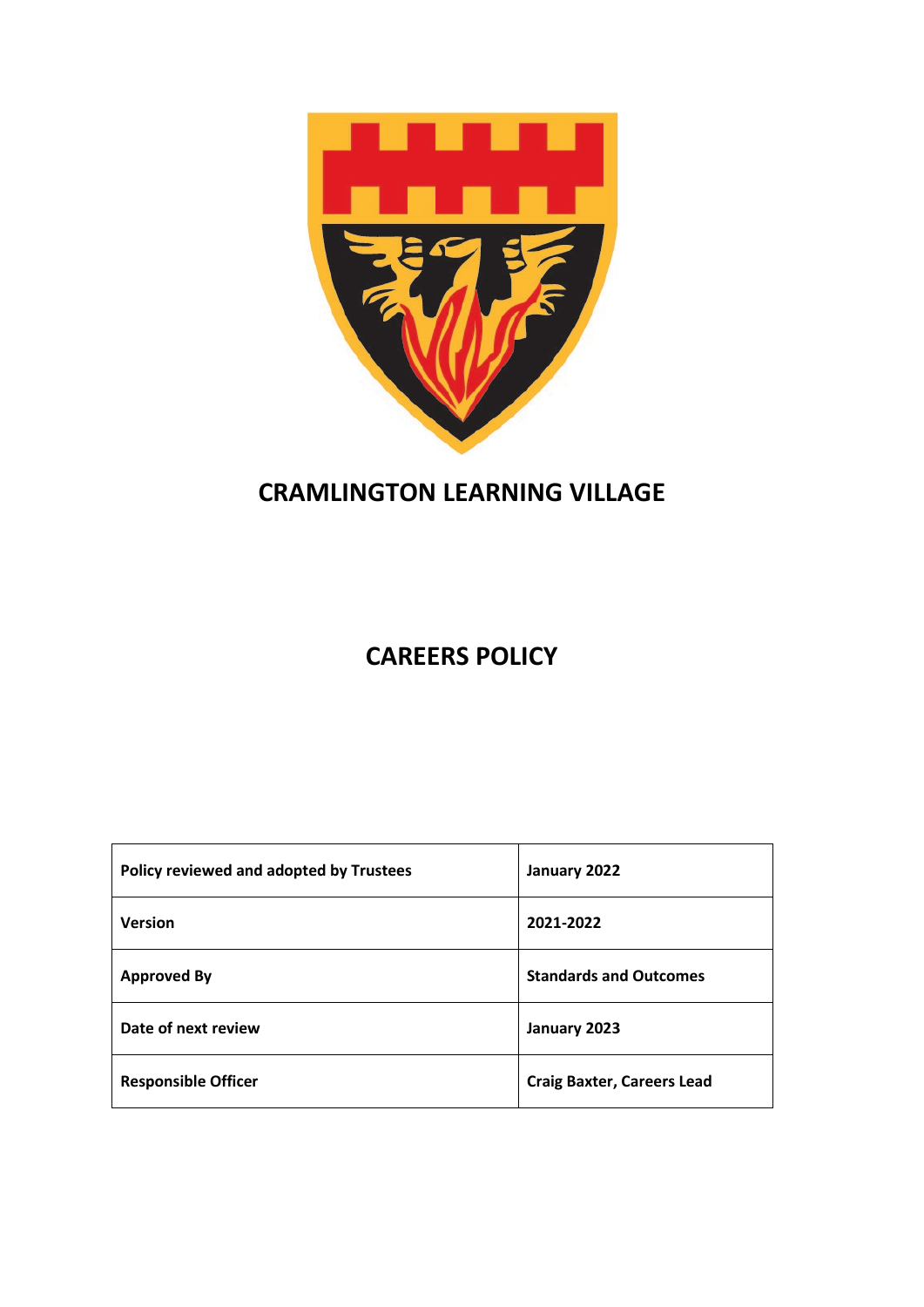

# **CRAMLINGTON LEARNING VILLAGE**

# **CAREERS POLICY**

| Policy reviewed and adopted by Trustees | January 2022                      |
|-----------------------------------------|-----------------------------------|
| <b>Version</b>                          | 2021-2022                         |
| <b>Approved By</b>                      | <b>Standards and Outcomes</b>     |
| Date of next review                     | January 2023                      |
| <b>Responsible Officer</b>              | <b>Craig Baxter, Careers Lead</b> |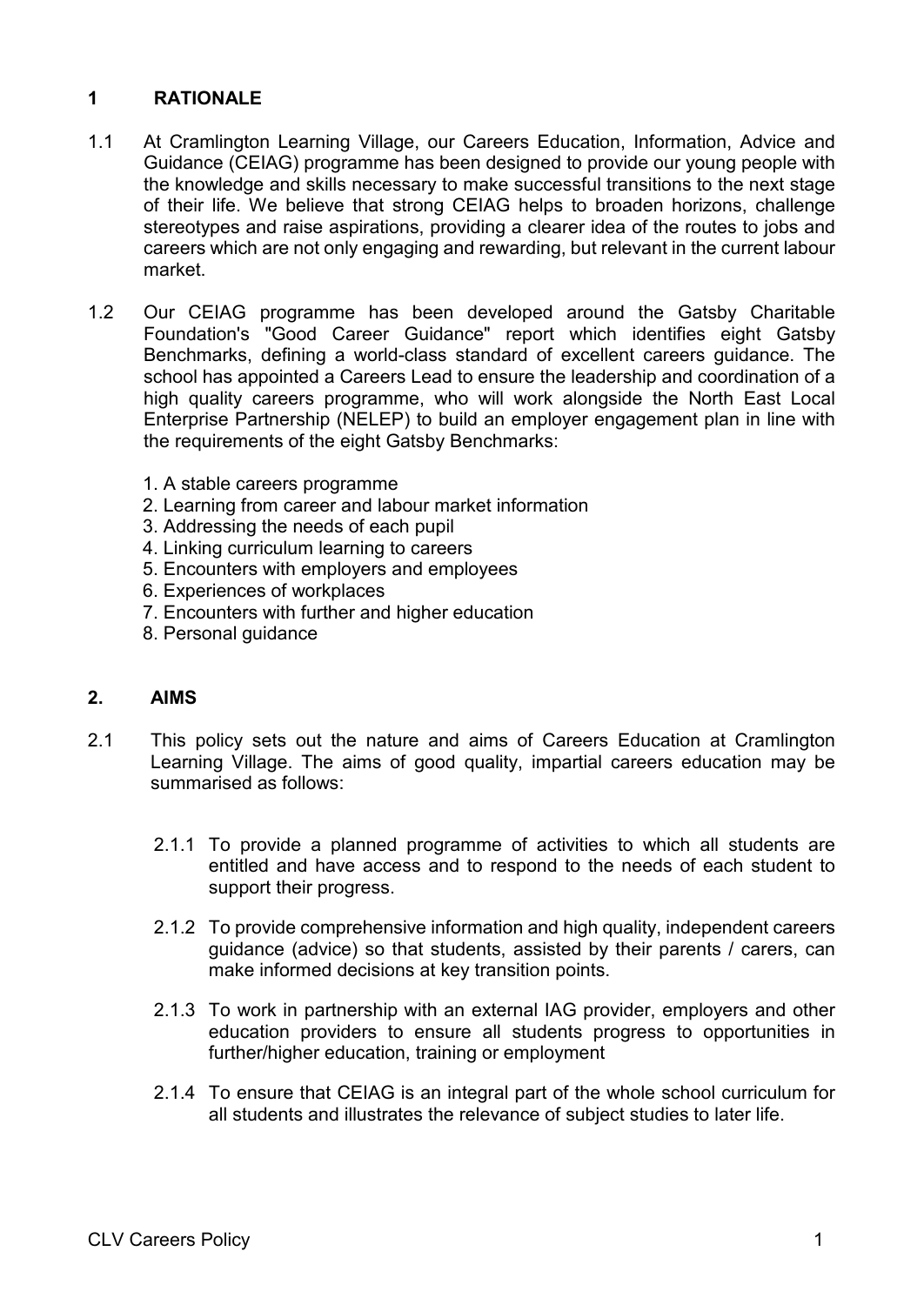# **1 RATIONALE**

- 1.1 At Cramlington Learning Village, our Careers Education, Information, Advice and Guidance (CEIAG) programme has been designed to provide our young people with the knowledge and skills necessary to make successful transitions to the next stage of their life. We believe that strong CEIAG helps to broaden horizons, challenge stereotypes and raise aspirations, providing a clearer idea of the routes to jobs and careers which are not only engaging and rewarding, but relevant in the current labour market.
- 1.2 Our CEIAG programme has been developed around the Gatsby Charitable Foundation's "Good Career Guidance" report which identifies eight Gatsby Benchmarks, defining a world-class standard of excellent careers guidance. The school has appointed a Careers Lead to ensure the leadership and coordination of a high quality careers programme, who will work alongside the North East Local Enterprise Partnership (NELEP) to build an employer engagement plan in line with the requirements of the eight Gatsby Benchmarks:
	- 1. A stable careers programme
	- 2. Learning from career and labour market information
	- 3. Addressing the needs of each pupil
	- 4. Linking curriculum learning to careers
	- 5. Encounters with employers and employees
	- 6. Experiences of workplaces
	- 7. Encounters with further and higher education
	- 8. Personal guidance

## **2. AIMS**

- 2.1 This policy sets out the nature and aims of Careers Education at Cramlington Learning Village. The aims of good quality, impartial careers education may be summarised as follows:
	- 2.1.1 To provide a planned programme of activities to which all students are entitled and have access and to respond to the needs of each student to support their progress.
	- 2.1.2 To provide comprehensive information and high quality, independent careers guidance (advice) so that students, assisted by their parents / carers, can make informed decisions at key transition points.
	- 2.1.3 To work in partnership with an external IAG provider, employers and other education providers to ensure all students progress to opportunities in further/higher education, training or employment
	- 2.1.4 To ensure that CEIAG is an integral part of the whole school curriculum for all students and illustrates the relevance of subject studies to later life.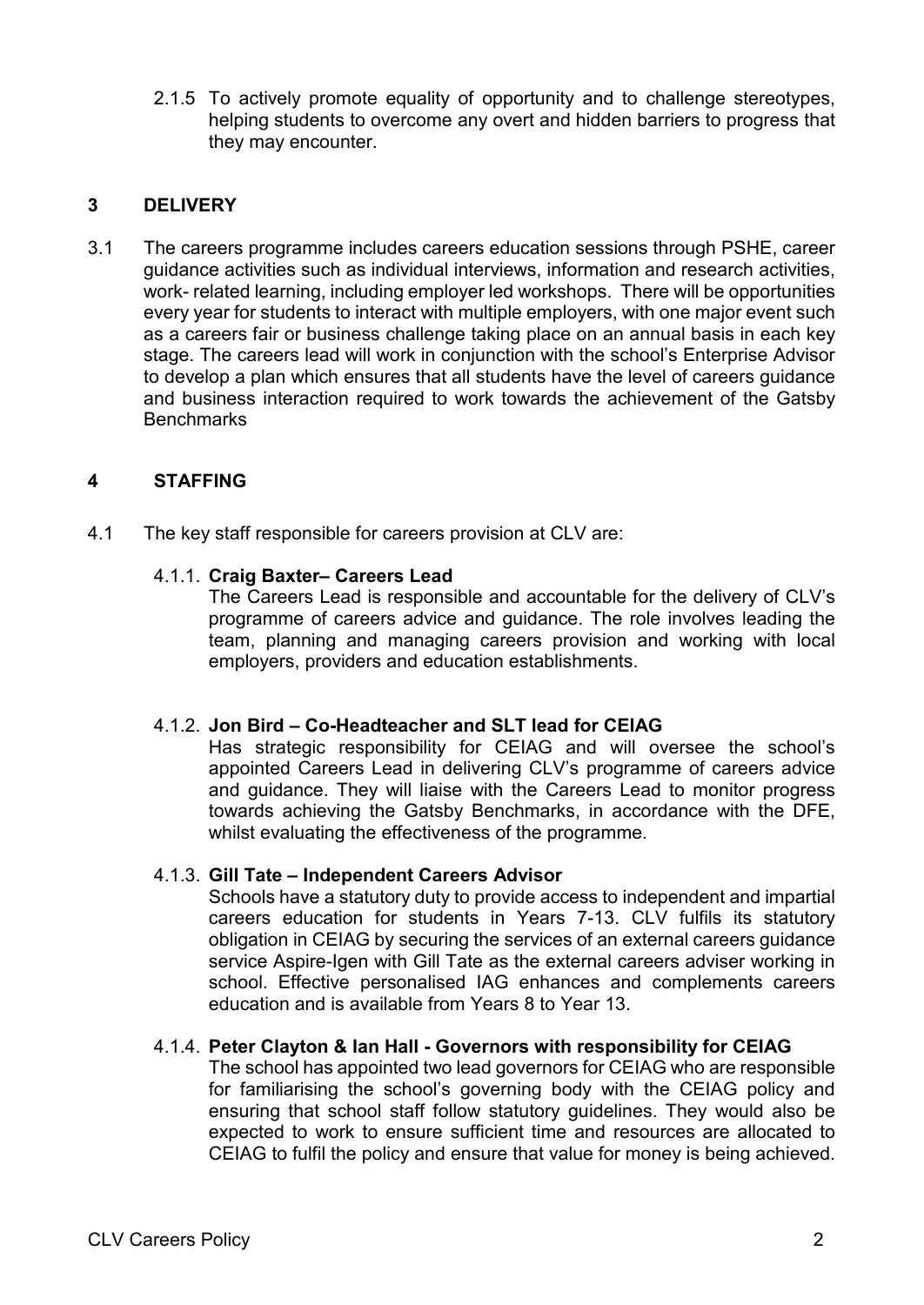2.1.5 To actively promote equality of opportunity and to challenge stereotypes, helping students to overcome any overt and hidden barriers to progress that they may encounter.

## **3 DELIVERY**

3.1 The careers programme includes careers education sessions through PSHE, career guidance activities such as individual interviews, information and research activities, work- related learning, including employer led workshops. There will be opportunities every year for students to interact with multiple employers, with one major event such as a careers fair or business challenge taking place on an annual basis in each key stage. The careers lead will work in conjunction with the school's Enterprise Advisor to develop a plan which ensures that all students have the level of careers guidance and business interaction required to work towards the achievement of the Gatsby **Benchmarks** 

## **4 STAFFING**

4.1 The key staff responsible for careers provision at CLV are:

#### 4.1.1. **Craig Baxter– Careers Lead**

The Careers Lead is responsible and accountable for the delivery of CLV's programme of careers advice and guidance. The role involves leading the team, planning and managing careers provision and working with local employers, providers and education establishments.

## 4.1.2. **Jon Bird – Co-Headteacher and SLT lead for CEIAG**

Has strategic responsibility for CEIAG and will oversee the school's appointed Careers Lead in delivering CLV's programme of careers advice and guidance. They will liaise with the Careers Lead to monitor progress towards achieving the Gatsby Benchmarks, in accordance with the DFE, whilst evaluating the effectiveness of the programme.

#### 4.1.3. **Gill Tate – Independent Careers Advisor**

Schools have a statutory duty to provide access to independent and impartial careers education for students in Years 7-13. CLV fulfils its statutory obligation in CEIAG by securing the services of an external careers guidance service Aspire-Igen with Gill Tate as the external careers adviser working in school. Effective personalised IAG enhances and complements careers education and is available from Years 8 to Year 13.

#### 4.1.4. **Peter Clayton & Ian Hall - Governors with responsibility for CEIAG**

The school has appointed two lead governors for CEIAG who are responsible for familiarising the school's governing body with the CEIAG policy and ensuring that school staff follow statutory guidelines. They would also be expected to work to ensure sufficient time and resources are allocated to CEIAG to fulfil the policy and ensure that value for money is being achieved.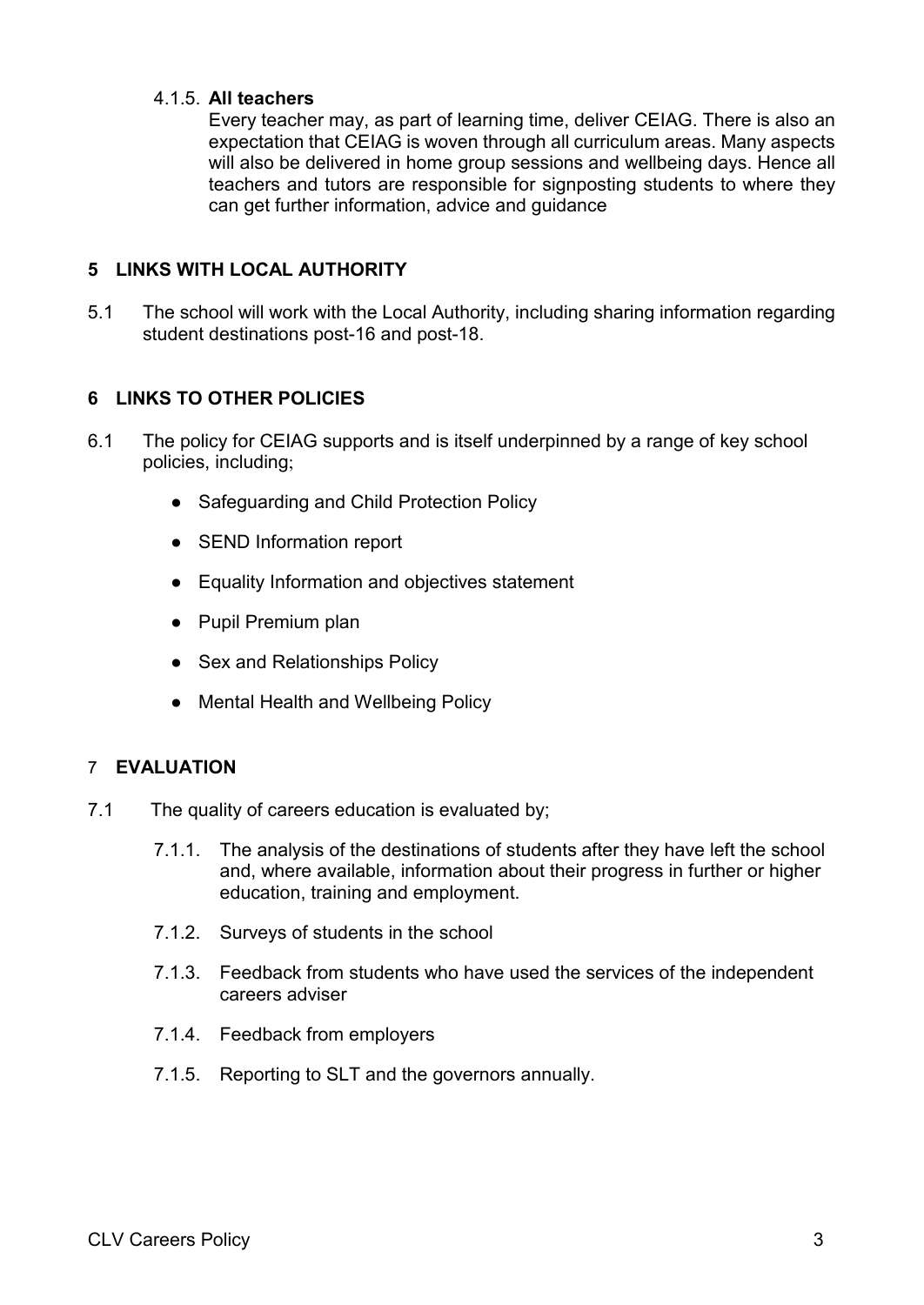## 4.1.5. **All teachers**

Every teacher may, as part of learning time, deliver CEIAG. There is also an expectation that CEIAG is woven through all curriculum areas. Many aspects will also be delivered in home group sessions and wellbeing days. Hence all teachers and tutors are responsible for signposting students to where they can get further information, advice and guidance

## **5 LINKS WITH LOCAL AUTHORITY**

5.1 The school will work with the Local Authority, including sharing information regarding student destinations post-16 and post-18.

## **6 LINKS TO OTHER POLICIES**

- 6.1 The policy for CEIAG supports and is itself underpinned by a range of key school policies, including;
	- Safeguarding and Child Protection Policy
	- SEND Information report
	- Equality Information and objectives statement
	- Pupil Premium plan
	- Sex and Relationships Policy
	- Mental Health and Wellbeing Policy

## 7 **EVALUATION**

- 7.1 The quality of careers education is evaluated by;
	- 7.1.1. The analysis of the destinations of students after they have left the school and, where available, information about their progress in further or higher education, training and employment.
	- 7.1.2. Surveys of students in the school
	- 7.1.3. Feedback from students who have used the services of the independent careers adviser
	- 7.1.4. Feedback from employers
	- 7.1.5. Reporting to SLT and the governors annually.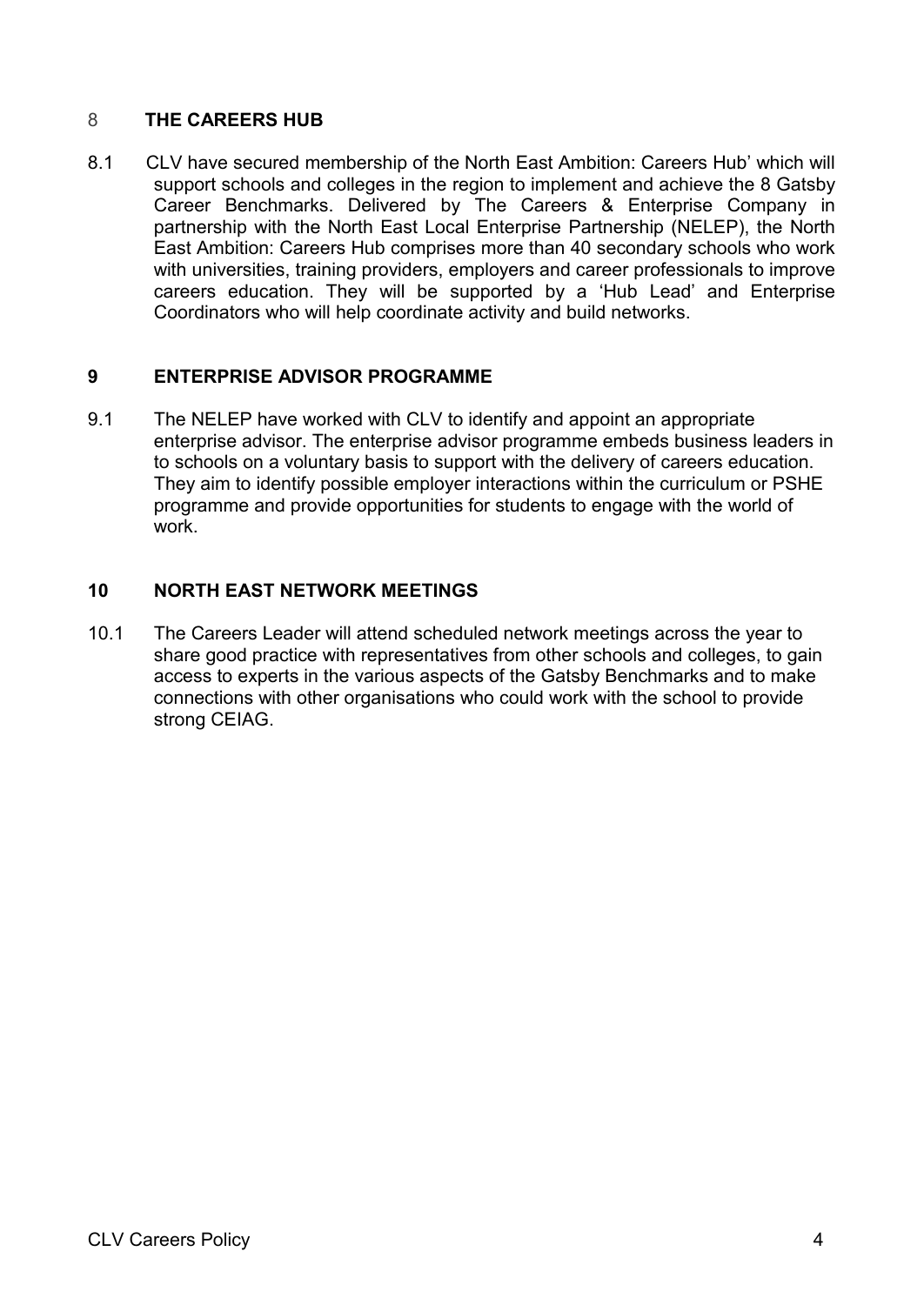## 8 **THE CAREERS HUB**

8.1 CLV have secured membership of the North East Ambition: Careers Hub' which will support schools and colleges in the region to implement and achieve the 8 Gatsby Career Benchmarks. Delivered by The Careers & Enterprise Company in partnership with the North East Local Enterprise Partnership (NELEP), the North East Ambition: Careers Hub comprises more than 40 secondary schools who work with universities, training providers, employers and career professionals to improve careers education. They will be supported by a 'Hub Lead' and Enterprise Coordinators who will help coordinate activity and build networks.

## **9 ENTERPRISE ADVISOR PROGRAMME**

9.1 The NELEP have worked with CLV to identify and appoint an appropriate enterprise advisor. The enterprise advisor programme embeds business leaders in to schools on a voluntary basis to support with the delivery of careers education. They aim to identify possible employer interactions within the curriculum or PSHE programme and provide opportunities for students to engage with the world of work.

## **10 NORTH EAST NETWORK MEETINGS**

10.1 The Careers Leader will attend scheduled network meetings across the year to share good practice with representatives from other schools and colleges, to gain access to experts in the various aspects of the Gatsby Benchmarks and to make connections with other organisations who could work with the school to provide strong CEIAG.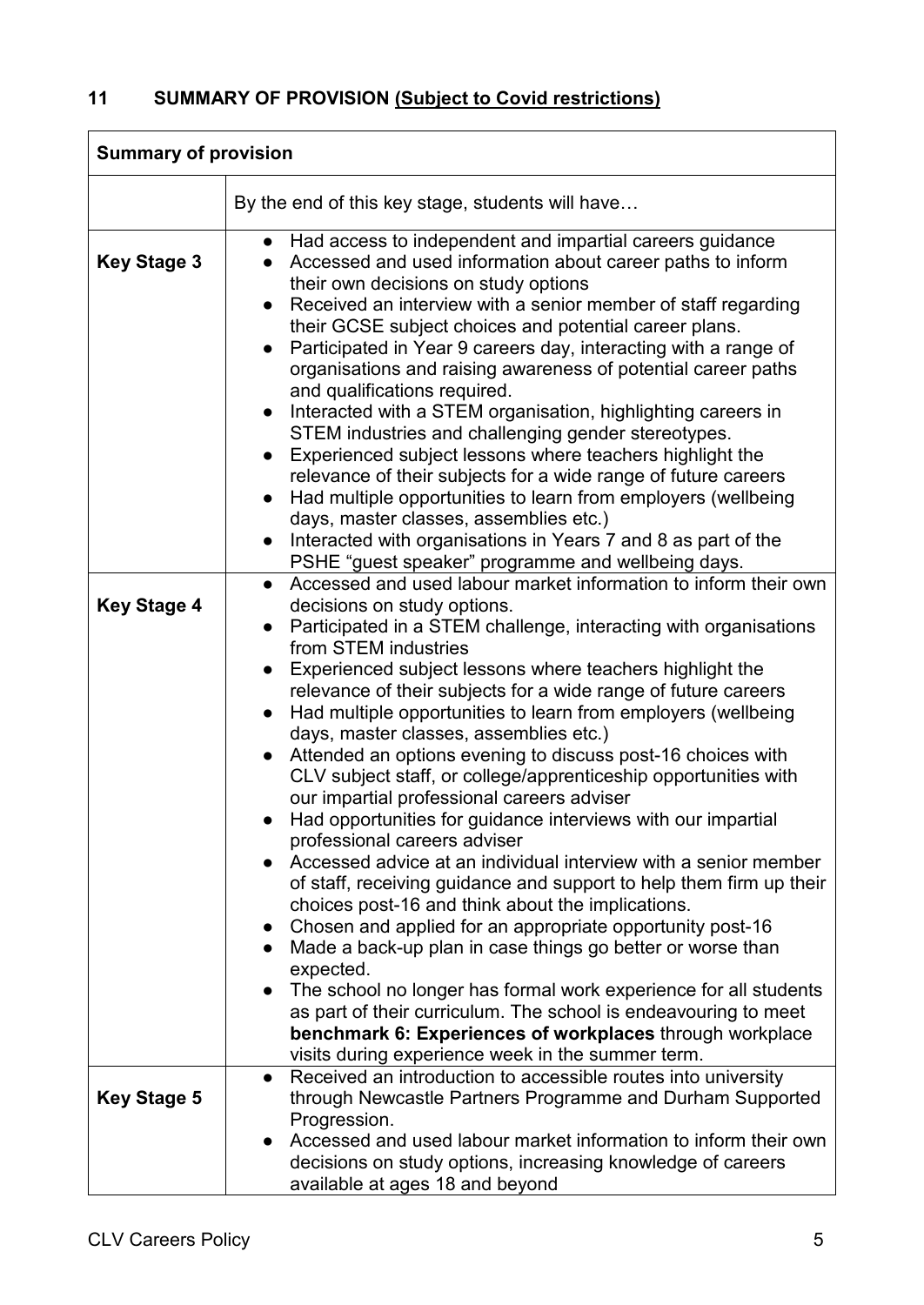| <b>Summary of provision</b> |                                                                                                                                                                                                                                                                                                                                                                                                                                                                                                                                                                                                                                                                                                                                                                                                                                                                                                                                                                                                                                                                                                                                             |  |
|-----------------------------|---------------------------------------------------------------------------------------------------------------------------------------------------------------------------------------------------------------------------------------------------------------------------------------------------------------------------------------------------------------------------------------------------------------------------------------------------------------------------------------------------------------------------------------------------------------------------------------------------------------------------------------------------------------------------------------------------------------------------------------------------------------------------------------------------------------------------------------------------------------------------------------------------------------------------------------------------------------------------------------------------------------------------------------------------------------------------------------------------------------------------------------------|--|
|                             | By the end of this key stage, students will have                                                                                                                                                                                                                                                                                                                                                                                                                                                                                                                                                                                                                                                                                                                                                                                                                                                                                                                                                                                                                                                                                            |  |
| <b>Key Stage 3</b>          | • Had access to independent and impartial careers guidance<br>Accessed and used information about career paths to inform<br>their own decisions on study options<br>Received an interview with a senior member of staff regarding<br>their GCSE subject choices and potential career plans.<br>Participated in Year 9 careers day, interacting with a range of<br>organisations and raising awareness of potential career paths<br>and qualifications required.<br>Interacted with a STEM organisation, highlighting careers in<br>STEM industries and challenging gender stereotypes.<br>Experienced subject lessons where teachers highlight the<br>$\bullet$<br>relevance of their subjects for a wide range of future careers<br>Had multiple opportunities to learn from employers (wellbeing<br>days, master classes, assemblies etc.)<br>Interacted with organisations in Years 7 and 8 as part of the<br>PSHE "guest speaker" programme and wellbeing days.                                                                                                                                                                         |  |
| <b>Key Stage 4</b>          | Accessed and used labour market information to inform their own<br>$\bullet$<br>decisions on study options.<br>Participated in a STEM challenge, interacting with organisations<br>from STEM industries<br>Experienced subject lessons where teachers highlight the<br>relevance of their subjects for a wide range of future careers<br>Had multiple opportunities to learn from employers (wellbeing<br>days, master classes, assemblies etc.)<br>Attended an options evening to discuss post-16 choices with<br>CLV subject staff, or college/apprenticeship opportunities with<br>our impartial professional careers adviser<br>Had opportunities for guidance interviews with our impartial<br>professional careers adviser<br>Accessed advice at an individual interview with a senior member<br>of staff, receiving guidance and support to help them firm up their<br>choices post-16 and think about the implications.<br>Chosen and applied for an appropriate opportunity post-16<br>Made a back-up plan in case things go better or worse than<br>expected.<br>The school no longer has formal work experience for all students |  |
|                             | as part of their curriculum. The school is endeavouring to meet<br>benchmark 6: Experiences of workplaces through workplace<br>visits during experience week in the summer term.                                                                                                                                                                                                                                                                                                                                                                                                                                                                                                                                                                                                                                                                                                                                                                                                                                                                                                                                                            |  |
| <b>Key Stage 5</b>          | Received an introduction to accessible routes into university<br>$\bullet$<br>through Newcastle Partners Programme and Durham Supported<br>Progression.<br>Accessed and used labour market information to inform their own<br>decisions on study options, increasing knowledge of careers<br>available at ages 18 and beyond                                                                                                                                                                                                                                                                                                                                                                                                                                                                                                                                                                                                                                                                                                                                                                                                                |  |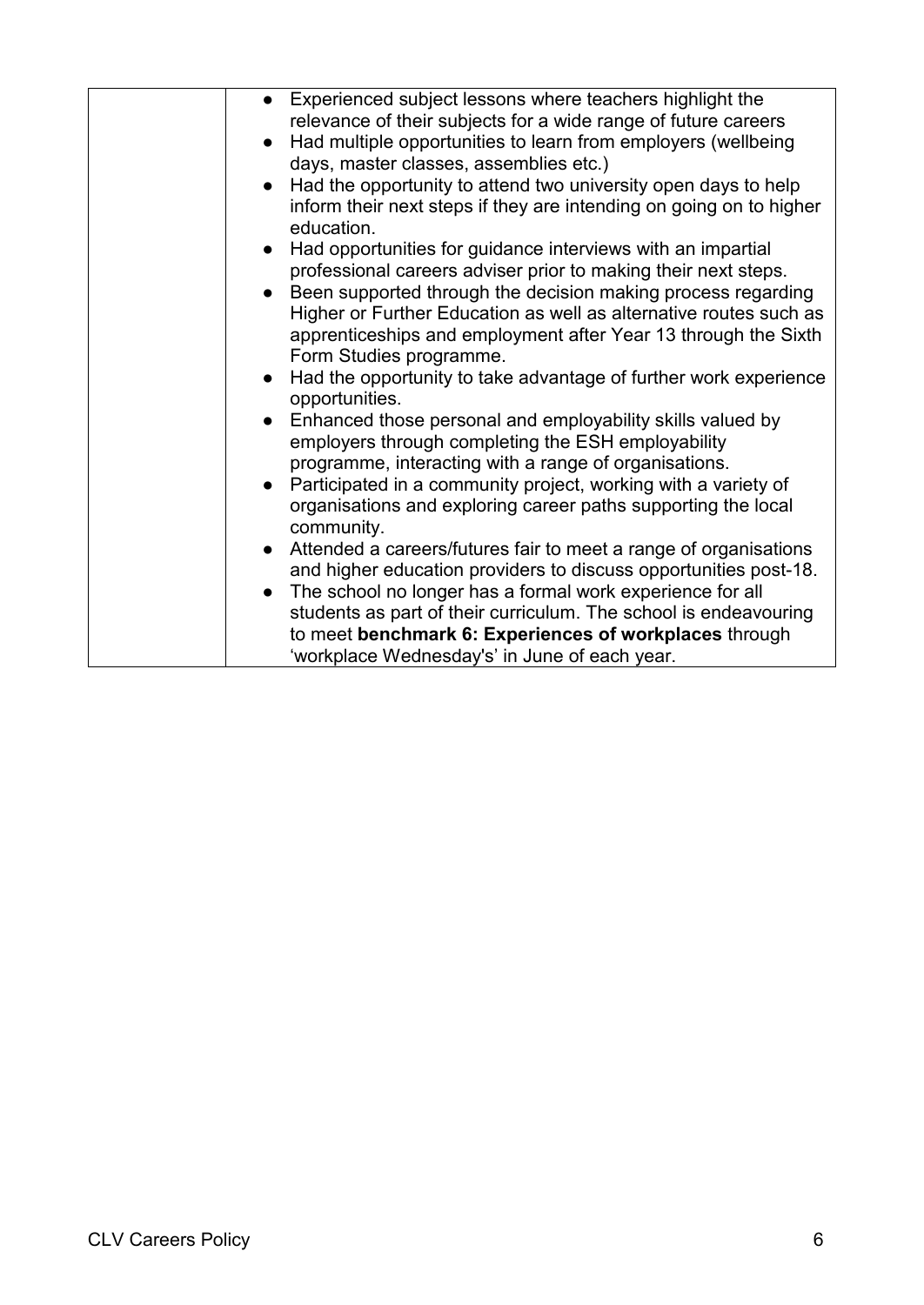| Experienced subject lessons where teachers highlight the<br>relevance of their subjects for a wide range of future careers<br>Had multiple opportunities to learn from employers (wellbeing<br>$\bullet$<br>days, master classes, assemblies etc.)<br>Had the opportunity to attend two university open days to help<br>inform their next steps if they are intending on going on to higher<br>education.<br>Had opportunities for guidance interviews with an impartial                                                                                                                                                                                                                                                                                                                                                                                                                              |
|-------------------------------------------------------------------------------------------------------------------------------------------------------------------------------------------------------------------------------------------------------------------------------------------------------------------------------------------------------------------------------------------------------------------------------------------------------------------------------------------------------------------------------------------------------------------------------------------------------------------------------------------------------------------------------------------------------------------------------------------------------------------------------------------------------------------------------------------------------------------------------------------------------|
| professional careers adviser prior to making their next steps.<br>• Been supported through the decision making process regarding<br>Higher or Further Education as well as alternative routes such as<br>apprenticeships and employment after Year 13 through the Sixth<br>Form Studies programme.<br>Had the opportunity to take advantage of further work experience<br>$\bullet$<br>opportunities.<br>Enhanced those personal and employability skills valued by<br>employers through completing the ESH employability<br>programme, interacting with a range of organisations.<br>Participated in a community project, working with a variety of<br>$\bullet$<br>organisations and exploring career paths supporting the local<br>community.<br>Attended a careers/futures fair to meet a range of organisations<br>$\bullet$<br>and higher education providers to discuss opportunities post-18. |
| The school no longer has a formal work experience for all<br>students as part of their curriculum. The school is endeavouring<br>to meet benchmark 6: Experiences of workplaces through<br>'workplace Wednesday's' in June of each year.                                                                                                                                                                                                                                                                                                                                                                                                                                                                                                                                                                                                                                                              |
|                                                                                                                                                                                                                                                                                                                                                                                                                                                                                                                                                                                                                                                                                                                                                                                                                                                                                                       |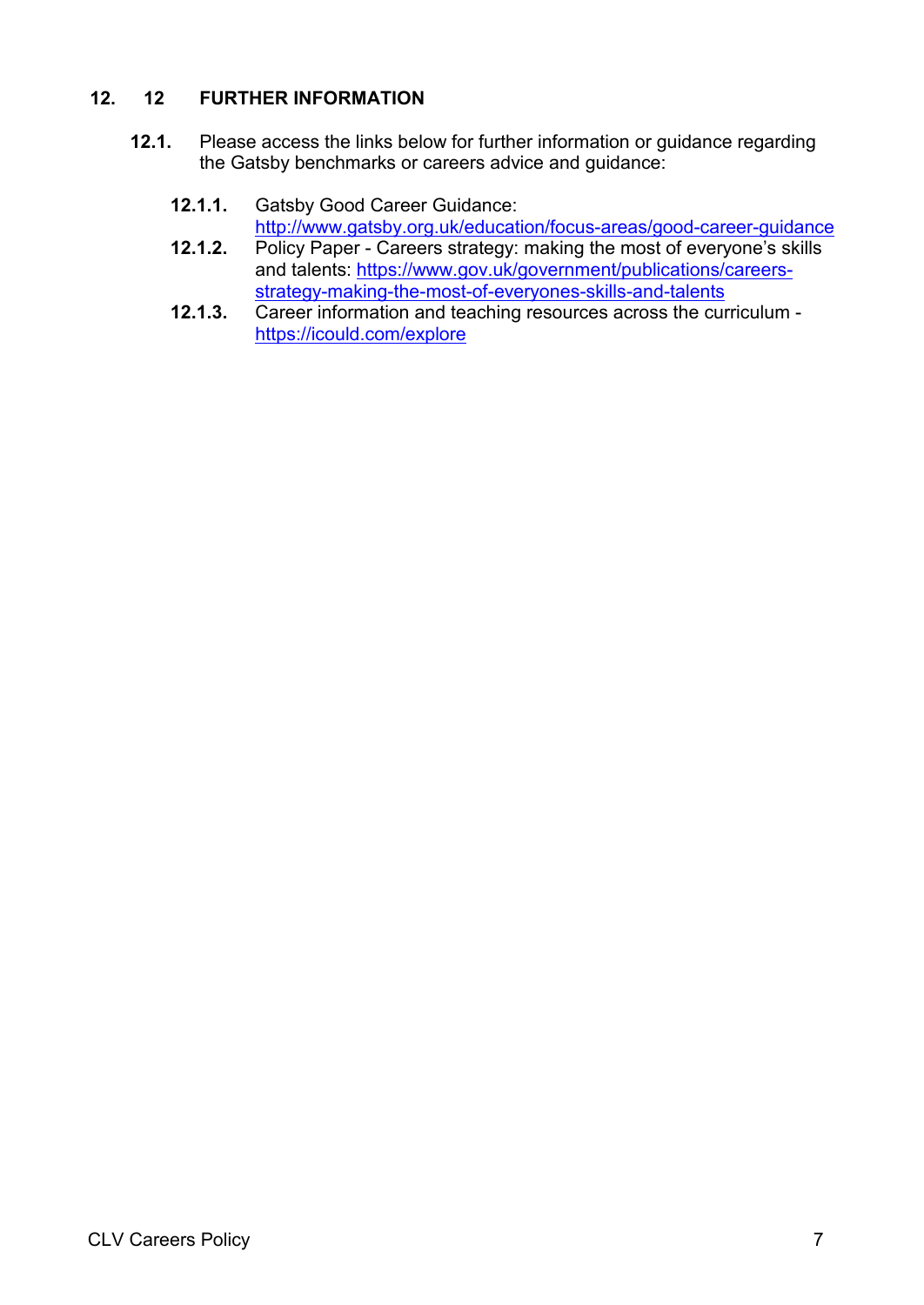## **12. 12 FURTHER INFORMATION**

- **12.1.** Please access the links below for further information or guidance regarding the Gatsby benchmarks or careers advice and guidance:
	- **12.1.1.** Gatsby Good Career Guidance: <http://www.gatsby.org.uk/education/focus-areas/good-career-guidance>
	- **12.1.2.** Policy Paper Careers strategy: making the most of everyone's skills and talents: [https://www.gov.uk/government/publications/careers](https://www.gov.uk/government/publications/careers-strategy-making-the-most-of-everyones-skills-and-talents)[strategy-making-the-most-of-everyones-skills-and-talents](https://www.gov.uk/government/publications/careers-strategy-making-the-most-of-everyones-skills-and-talents)
	- **12.1.3.** Career information and teaching resources across the curriculum <https://icould.com/explore>